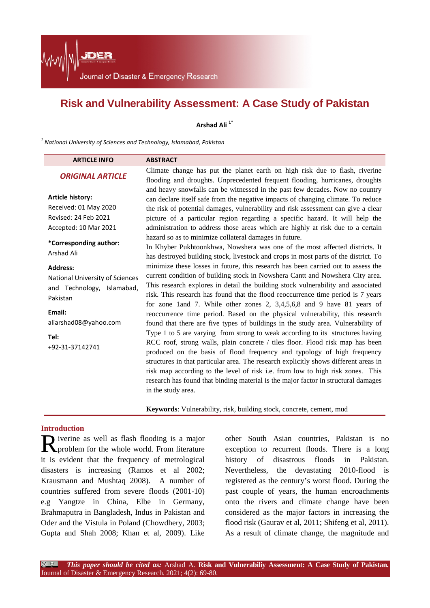Journal of Disaster & Emergency Research

JDER

## **Risk and Vulnerability Assessment: A Case Study of Pakistan**

**Arshad Ali 1\***

*<sup>1</sup> National University of Sciences and Technology, Islamabad, Pakistan*

| <b>ARTICLE INFO</b>                                                                                                                                        | <b>ABSTRACT</b>                                                                                                                                                                                                                                                                                                                                                                                                                                                                                                                                                                                                                                                                                                                                                                                                                                                                                                                                                                                                                                                                                                                 |
|------------------------------------------------------------------------------------------------------------------------------------------------------------|---------------------------------------------------------------------------------------------------------------------------------------------------------------------------------------------------------------------------------------------------------------------------------------------------------------------------------------------------------------------------------------------------------------------------------------------------------------------------------------------------------------------------------------------------------------------------------------------------------------------------------------------------------------------------------------------------------------------------------------------------------------------------------------------------------------------------------------------------------------------------------------------------------------------------------------------------------------------------------------------------------------------------------------------------------------------------------------------------------------------------------|
| <b>ORIGINAL ARTICLE</b>                                                                                                                                    | Climate change has put the planet earth on high risk due to flash, riverine<br>flooding and droughts. Unprecedented frequent flooding, hurricanes, droughts                                                                                                                                                                                                                                                                                                                                                                                                                                                                                                                                                                                                                                                                                                                                                                                                                                                                                                                                                                     |
| <b>Article history:</b><br>Received: 01 May 2020<br>Revised: 24 Feb 2021<br>Accepted: 10 Mar 2021                                                          | and heavy snowfalls can be witnessed in the past few decades. Now no country<br>can declare itself safe from the negative impacts of changing climate. To reduce<br>the risk of potential damages, vulnerability and risk assessment can give a clear<br>picture of a particular region regarding a specific hazard. It will help the<br>administration to address those areas which are highly at risk due to a certain                                                                                                                                                                                                                                                                                                                                                                                                                                                                                                                                                                                                                                                                                                        |
| *Corresponding author:<br>Arshad Ali                                                                                                                       | hazard so as to minimize collateral damages in future.<br>In Khyber Pukhtoonkhwa, Nowshera was one of the most affected districts. It<br>has destroyed building stock, livestock and crops in most parts of the district. To                                                                                                                                                                                                                                                                                                                                                                                                                                                                                                                                                                                                                                                                                                                                                                                                                                                                                                    |
| <b>Address:</b><br>National University of Sciences<br>and Technology, Islamabad,<br>Pakistan<br>Email:<br>aliarshad08@yahoo.com<br>Tel:<br>+92-31-37142741 | minimize these losses in future, this research has been carried out to assess the<br>current condition of building stock in Nowshera Cantt and Nowshera City area.<br>This research explores in detail the building stock vulnerability and associated<br>risk. This research has found that the flood reoccurrence time period is 7 years<br>for zone 1 and 7. While other zones 2, $3,4,5,6,8$ and 9 have 81 years of<br>reoccurrence time period. Based on the physical vulnerability, this research<br>found that there are five types of buildings in the study area. Vulnerability of<br>Type 1 to 5 are varying from strong to weak according to its structures having<br>RCC roof, strong walls, plain concrete / tiles floor. Flood risk map has been<br>produced on the basis of flood frequency and typology of high frequency<br>structures in that particular area. The research explicitly shows different areas in<br>risk map according to the level of risk i.e. from low to high risk zones. This<br>research has found that binding material is the major factor in structural damages<br>in the study area. |

**Keywords**: Vulnerability, risk, building stock, concrete, cement, mud

#### **Introduction**

iverine as well as flash flooding is a major Riverine as well as flash flooding is a major<br>problem for the whole world. From literature it is evident that the frequency of metrological disasters is increasing (Ramos et al 2002; Krausmann and Mushtaq 2008). A number of countries suffered from severe floods (2001-10) e.g Yangtze in China, Elbe in Germany, Brahmaputra in Bangladesh, Indus in Pakistan and Oder and the Vistula in Poland (Chowdhery, 2003; Gupta and Shah 2008; Khan et al, 2009). Like

other South Asian countries, Pakistan is no exception to recurrent floods. There is a long history of disastrous floods in Pakistan. Nevertheless, the devastating 2010-flood is registered as the century's worst flood. During the past couple of years, the human encroachments onto the rivers and climate change have been considered as the major factors in increasing the flood risk (Gaurav et al, 2011; Shifeng et al, 2011). As a result of climate change, the magnitude and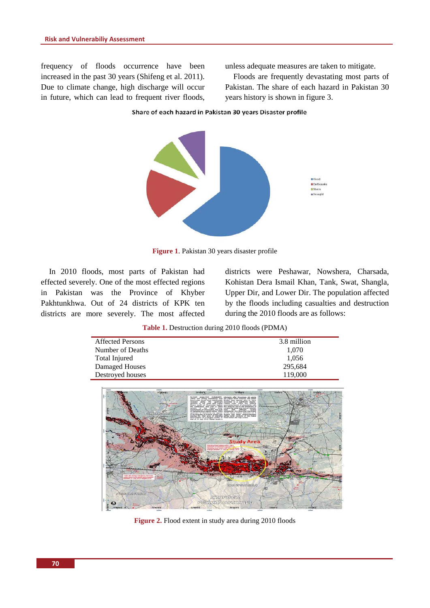frequency of floods occurrence have been increased in the past 30 years (Shifeng et al. 2011). Due to climate change, high discharge will occur in future, which can lead to frequent river floods, unless adequate measures are taken to mitigate.

Floods are frequently devastating most parts of Pakistan. The share of each hazard in Pakistan 30 years history is shown in figure 3.

Share of each hazard in Pakistan 30 years Disaster profile



**Figure 1**. Pakistan 30 years disaster profile

In 2010 floods, most parts of Pakistan had effected severely. One of the most effected regions in Pakistan was the Province of Khyber Pakhtunkhwa. Out of 24 districts of KPK ten districts are more severely. The most affected districts were Peshawar, Nowshera, Charsada, Kohistan Dera Ismail Khan, Tank, Swat, Shangla, Upper Dir, and Lower Dir. The population affected by the floods including casualties and destruction during the 2010 floods are as follows:

**Table 1.** Destruction during 2010 floods (PDMA)

| <b>Affected Persons</b> | 3.8 million |
|-------------------------|-------------|
| Number of Deaths        | 1,070       |
| Total Injured           | 1,056       |
| Damaged Houses          | 295,684     |
| Destroyed houses        | 119,000     |
|                         |             |



Figure 2. Flood extent in study area during 2010 floods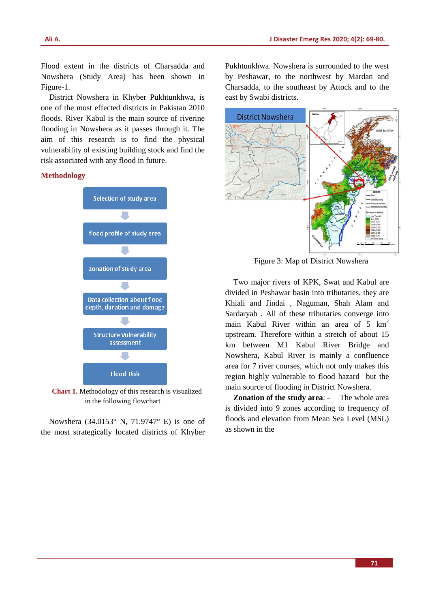Flood extent in the districts of Charsadda and Nowshera (Study Area) has been shown in Figure-1.

District Nowshera in Khyber Pukhtunkhwa, is one of the most effected districts in Pakistan 2010 floods. River Kabul is the main source of riverine flooding in Nowshera as it passes through it. The aim of this research is to find the physical vulnerability of existing building stock and find the risk associated with any flood in future.

#### **Methodology**



**Chart 1.** Methodology of this research is visualized in the following flowchart

Nowshera (34.0153° N, 71.9747° E) is one of the most strategically located districts of Khyber Pukhtunkhwa. Nowshera is surrounded to the west by Peshawar, to the northwest by Mardan and Charsadda, to the southeast by Attock and to the east by Swabi districts.



Figure 3: Map of District Nowshera

Two major rivers of KPK, Swat and Kabul are divided in Peshawar basin into tributaries, they are Khiali and Jindai , Naguman, Shah Alam and Sardaryab . All of these tributaries converge into main Kabul River within an area of  $5 \text{ km}^2$ upstream. Therefore within a stretch of about 15 km between M1 Kabul River Bridge and Nowshera, Kabul River is mainly a confluence area for 7 river courses, which not only makes this region highly vulnerable to flood hazard but the main source of flooding in District Nowshera.

**Zonation of the study area**: - The whole area is divided into 9 zones according to frequency of floods and elevation from Mean Sea Level (MSL) as shown in the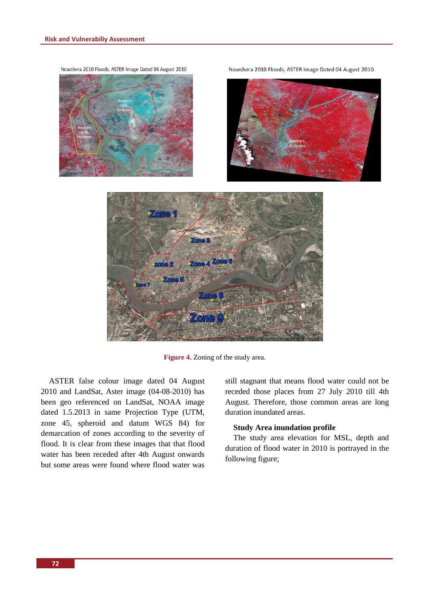Nowshera 2010 Floods, ASTER Image Dated 04 August 2010









**Figure 4.** Zoning of the study area.

ASTER false colour image dated 04 August 2010 and LandSat, Aster image (04-08-2010) has been geo referenced on LandSat, NOAA image dated 1.5.2013 in same Projection Type (UTM, zone 45, spheroid and datum WGS 84) for demarcation of zones according to the severity of flood. It is clear from these images that that flood water has been receded after 4th August onwards but some areas were found where flood water was still stagnant that means flood water could not be receded those places from 27 July 2010 till 4th August. Therefore, those common areas are long duration inundated areas.

#### **Study Area inundation profile**

The study area elevation for MSL, depth and duration of flood water in 2010 is portrayed in the following figure;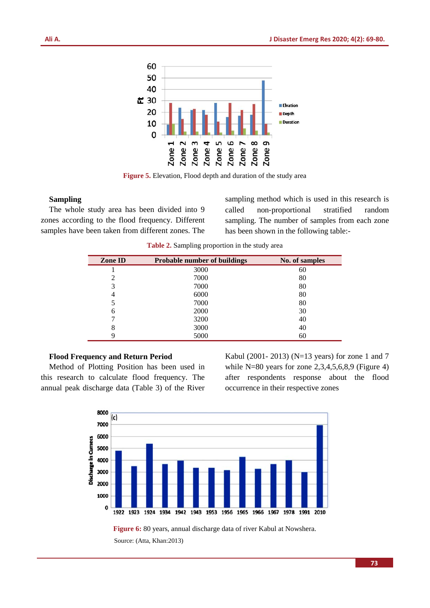

**Figure 5.** Elevation, Flood depth and duration of the study area

#### **Sampling**

The whole study area has been divided into 9 zones according to the flood frequency. Different samples have been taken from different zones. The sampling method which is used in this research is called non‐proportional stratified random sampling. The number of samples from each zone has been shown in the following table:-

| Zone ID | <b>Probable number of buildings</b> | No. of samples |
|---------|-------------------------------------|----------------|
|         | 3000                                | 60             |
| 2       | 7000                                | 80             |
| 3       | 7000                                | 80             |
| 4       | 6000                                | 80             |
|         | 7000                                | 80             |
| 6       | 2000                                | 30             |
|         | 3200                                | 40             |
| 8       | 3000                                | 40             |
|         | 5000                                | 60             |

**Table 2.** Sampling proportion in the study area

#### **Flood Frequency and Return Period**

Method of Plotting Position has been used in this research to calculate flood frequency. The annual peak discharge data (Table 3) of the River Kabul (2001- 2013) (N=13 years) for zone 1 and 7 while N=80 years for zone 2,3,4,5,6,8,9 (Figure 4) after respondents response about the flood occurrence in their respective zones



Source: (Atta, Khan:2013)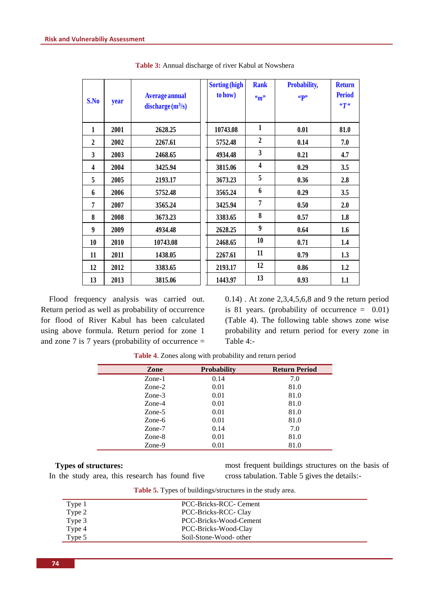| S.No         | year | <b>Average annual</b><br>discharge(m <sup>3</sup> /s) | <b>Sorting (high</b><br>to how) | <b>Rank</b><br>$\mathbf{w}_m$ | Probability,<br>«p» | <b>Return</b><br><b>Period</b><br>$\epsilon\tau\epsilon$ |
|--------------|------|-------------------------------------------------------|---------------------------------|-------------------------------|---------------------|----------------------------------------------------------|
| 1            | 2001 | 2628.25                                               | 10743.08                        | $\mathbf{1}$                  | 0.01                | 81.0                                                     |
| $\mathbf{2}$ | 2002 | 2267.61                                               | 5752.48                         | $\overline{2}$                | 0.14                | 7.0                                                      |
| 3            | 2003 | 2468.65                                               | 4934.48                         | 3                             | 0.21                | 4.7                                                      |
| 4            | 2004 | 3425.94                                               | 3815.06                         | 4                             | 0.29                | 3.5                                                      |
| 5            | 2005 | 2193.17                                               | 3673.23                         | 5                             | 0.36                | 2.8                                                      |
| 6            | 2006 | 5752.48                                               | 3565.24                         | 6                             | 0.29                | 3.5                                                      |
| 7            | 2007 | 3565.24                                               | 3425.94                         | $\overline{7}$                | 0.50                | 2.0                                                      |
| 8            | 2008 | 3673.23                                               | 3383.65                         | 8                             | 0.57                | 1.8                                                      |
| 9            | 2009 | 4934.48                                               | 2628.25                         | $\boldsymbol{9}$              | 0.64                | 1.6                                                      |
| 10           | 2010 | 10743.08                                              | 2468.65                         | 10                            | 0.71                | 1.4                                                      |
| 11           | 2011 | 1438.05                                               | 2267.61                         | 11                            | 0.79                | 1.3                                                      |
| 12           | 2012 | 3383.65                                               | 2193.17                         | 12                            | 0.86                | 1.2                                                      |
| 13           | 2013 | 3815.06                                               | 1443.97                         | 13                            | 0.93                | 1.1                                                      |

**Table 3:** Annual discharge of river Kabul at Nowshera

Flood frequency analysis was carried out. Return period as well as probability of occurrence for flood of River Kabul has been calculated using above formula. Return period for zone 1 and zone 7 is 7 years (probability of occurrence  $=$  0.14) . At zone 2,3,4,5,6,8 and 9 the return period is 81 years. (probability of occurrence  $= 0.01$ ) (Table 4). The following table shows zone wise probability and return period for every zone in Table 4:-

| Zone                     | <b>Probability</b> | <b>Return Period</b> |
|--------------------------|--------------------|----------------------|
| $Z$ one-1                | 0.14               | 7.0                  |
| $Zone-2$                 | 0.01               | 81.0                 |
| $\mathsf{Zone-3}$        | 0.01               | 81.0                 |
| $Z$ one-4                | 0.01               | 81.0                 |
| $\mathsf{Zone}\text{-}5$ | 0.01               | 81.0                 |
| Zone-6                   | 0.01               | 81.0                 |
| Zone-7                   | 0.14               | 7.0                  |
| Zone-8                   | 0.01               | 81.0                 |
| Zone-9                   | 0.01               | 81.0                 |

**Table 4**. Zones along with probability and return period

#### **Types of structures:**

In the study area, this research has found five

most frequent buildings structures on the basis of cross tabulation. Table 5 gives the details:-

| Type 1 | PCC-Bricks-RCC- Cement |
|--------|------------------------|
| Type 2 | PCC-Bricks-RCC- Clay   |
| Type 3 | PCC-Bricks-Wood-Cement |
| Type 4 | PCC-Bricks-Wood-Clay   |
| Type 5 | Soil-Stone-Wood- other |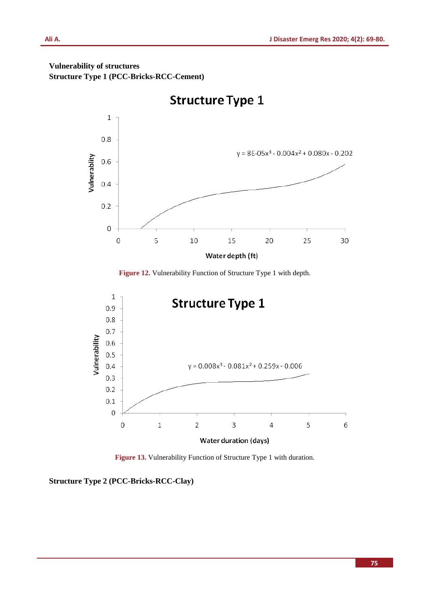### **Vulnerability of structures Structure Type 1 (PCC-Bricks-RCC-Cement)**



**Structure Type 1** 

**Figure 12.** Vulnerability Function of Structure Type 1 with depth.



**Figure 13.** Vulnerability Function of Structure Type 1 with duration.

**Structure Type 2 (PCC-Bricks-RCC-Clay)**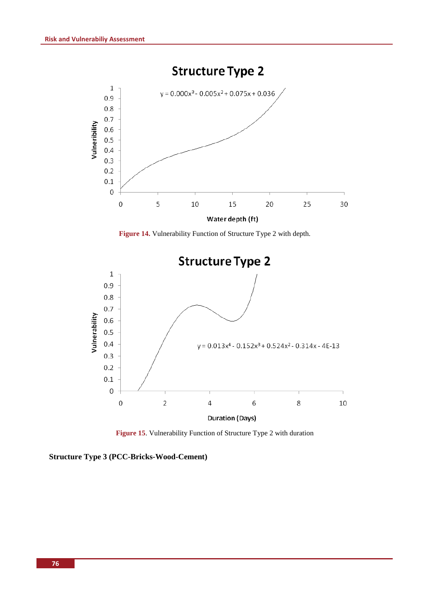

**Figure 14.** Vulnerability Function of Structure Type 2 with depth.



**Figure 15**. Vulnerability Function of Structure Type 2 with duration

**Structure Type 3 (PCC-Bricks-Wood-Cement)**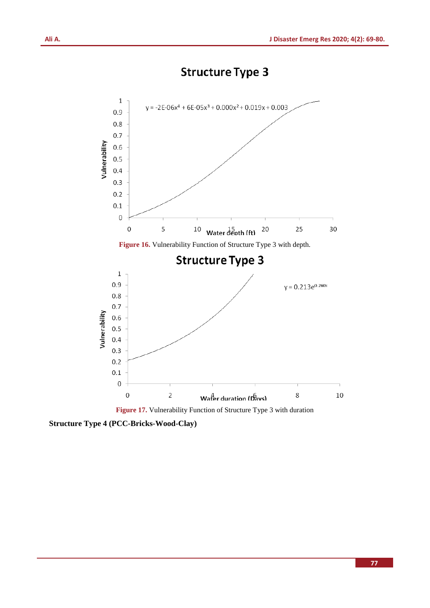# **Structure Type 3**



**Figure 17.** Vulnerability Function of Structure Type 3 with duration

**Structure Type 4 (PCC-Bricks-Wood-Clay)**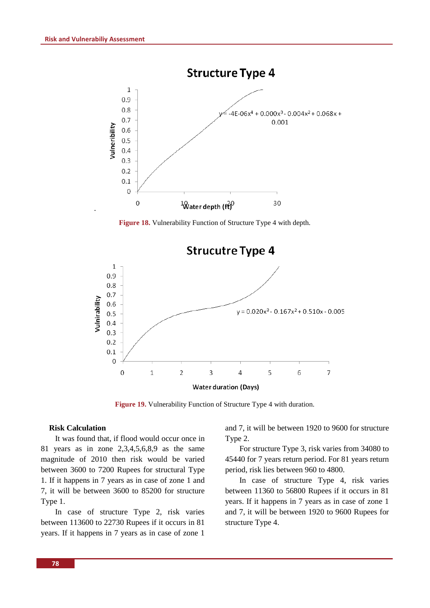.



**Figure 18.** Vulnerability Function of Structure Type 4 with depth.



**Figure 19.** Vulnerability Function of Structure Type 4 with duration.

#### **Risk Calculation**

It was found that, if flood would occur once in 81 years as in zone 2,3,4,5,6,8,9 as the same magnitude of 2010 then risk would be varied between 3600 to 7200 Rupees for structural Type 1. If it happens in 7 years as in case of zone 1 and 7, it will be between 3600 to 85200 for structure Type 1.

In case of structure Type 2, risk varies between 113600 to 22730 Rupees if it occurs in 81 years. If it happens in 7 years as in case of zone 1

and 7, it will be between 1920 to 9600 for structure Type 2.

For structure Type 3, risk varies from 34080 to 45440 for 7 years return period. For 81 years return period, risk lies between 960 to 4800.

In case of structure Type 4, risk varies between 11360 to 56800 Rupees if it occurs in 81 years. If it happens in 7 years as in case of zone 1 and 7, it will be between 1920 to 9600 Rupees for structure Type 4.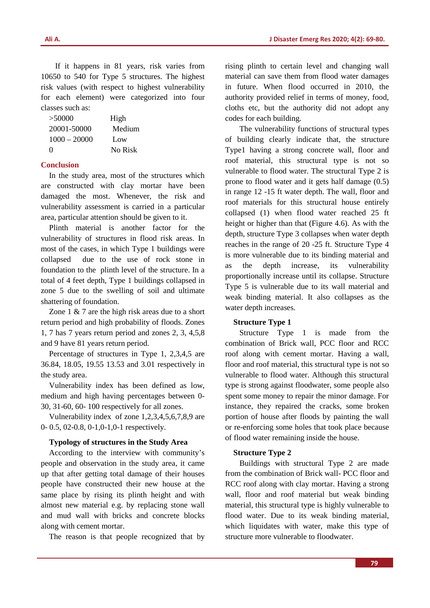If it happens in 81 years, risk varies from 10650 to 540 for Type 5 structures. The highest risk values (with respect to highest vulnerability for each element) were categorized into four classes such as:

| >50000         | High    |
|----------------|---------|
| 20001-50000    | Medium  |
| $1000 - 20000$ | Low     |
| $\Omega$       | No Risk |

#### **Conclusion**

In the study area, most of the structures which are constructed with clay mortar have been damaged the most. Whenever, the risk and vulnerability assessment is carried in a particular area, particular attention should be given to it.

Plinth material is another factor for the vulnerability of structures in flood risk areas. In most of the cases, in which Type 1 buildings were collapsed due to the use of rock stone in foundation to the plinth level of the structure. In a total of 4 feet depth, Type 1 buildings collapsed in zone 5 due to the swelling of soil and ultimate shattering of foundation.

Zone 1 & 7 are the high risk areas due to a short return period and high probability of floods. Zones 1, 7 has 7 years return period and zones 2, 3, 4,5,8 and 9 have 81 years return period.

Percentage of structures in Type 1, 2,3,4,5 are 36.84, 18.05, 19.55 13.53 and 3.01 respectively in the study area.

Vulnerability index has been defined as low, medium and high having percentages between 0- 30, 31-60, 60- 100 respectively for all zones.

Vulnerability index of zone 1,2,3,4,5,6,7,8,9 are 0- 0.5, 02-0.8, 0-1,0-1,0-1 respectively.

#### **Typology of structures in the Study Area**

According to the interview with community's people and observation in the study area, it came up that after getting total damage of their houses people have constructed their new house at the same place by rising its plinth height and with almost new material e.g. by replacing stone wall and mud wall with bricks and concrete blocks along with cement mortar.

The reason is that people recognized that by

rising plinth to certain level and changing wall material can save them from flood water damages in future. When flood occurred in 2010, the authority provided relief in terms of money, food, cloths etc, but the authority did not adopt any codes for each building.

The vulnerability functions of structural types of building clearly indicate that, the structure Type1 having a strong concrete wall, floor and roof material, this structural type is not so vulnerable to flood water. The structural Type 2 is prone to flood water and it gets half damage (0.5) in range 12 -15 ft water depth. The wall, floor and roof materials for this structural house entirely collapsed (1) when flood water reached 25 ft height or higher than that (Figure 4.6). As with the depth, structure Type 3 collapses when water depth reaches in the range of 20 -25 ft. Structure Type 4 is more vulnerable due to its binding material and as the depth increase, its vulnerability proportionally increase until its collapse. Structure Type 5 is vulnerable due to its wall material and weak binding material. It also collapses as the water depth increases.

#### **Structure Type 1**

Structure Type 1 is made from the combination of Brick wall, PCC floor and RCC roof along with cement mortar. Having a wall, floor and roof material, this structural type is not so vulnerable to flood water. Although this structural type is strong against floodwater, some people also spent some money to repair the minor damage. For instance, they repaired the cracks, some broken portion of house after floods by painting the wall or re-enforcing some holes that took place because of flood water remaining inside the house.

#### **Structure Type 2**

Buildings with structural Type 2 are made from the combination of Brick wall- PCC floor and RCC roof along with clay mortar. Having a strong wall, floor and roof material but weak binding material, this structural type is highly vulnerable to flood water. Due to its weak binding material, which liquidates with water, make this type of structure more vulnerable to floodwater.